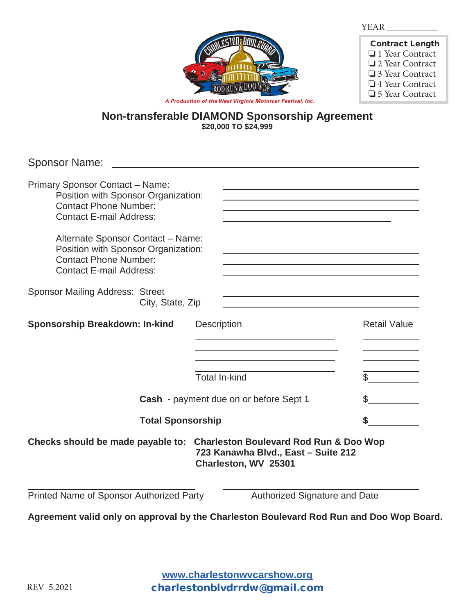| л.<br>л<br><br>., |  |  |
|-------------------|--|--|
|                   |  |  |



| <b>Contract Length</b> |
|------------------------|
| $\Box$ 1 Year Contract |
| $\Box$ 2 Year Contract |
| $\Box$ 3 Year Contract |
| $\Box$ 4 Year Contract |
| $\Box$ 5 Year Contract |

**Non-transferable DIAMOND Sponsorship Agreement \$20,000 TO \$24,999**

Sponsor Name: Primary Sponsor Contact – Name: Position with Sponsor Organization: Contact Phone Number: Contact E-mail Address: Alternate Sponsor Contact – Name: Position with Sponsor Organization: Contact Phone Number: Contact E-mail Address: Sponsor Mailing Address: Street City, State, Zip **Sponsorship Breakdown: In-kind** Description Description Retail Value i.  $\overline{\text{Total In-kind}}$ **Cash** - payment due on or before Sept 1  $\frac{1}{2}$  **Total Sponsorship \$ Checks should be made payable to: Charleston Boulevard Rod Run & Doo Wop 723 Kanawha Blvd., East – Suite 212 Charleston, WV 25301**  Printed Name of Sponsor Authorized Party **Authorized Signature and Date** 

**Agreement valid only on approval by the Charleston Boulevard Rod Run and Doo Wop Board.** 

**www.charlestonwvcarshow.org** REV 5.2021 charlestonblvdrrdw@gmail.com